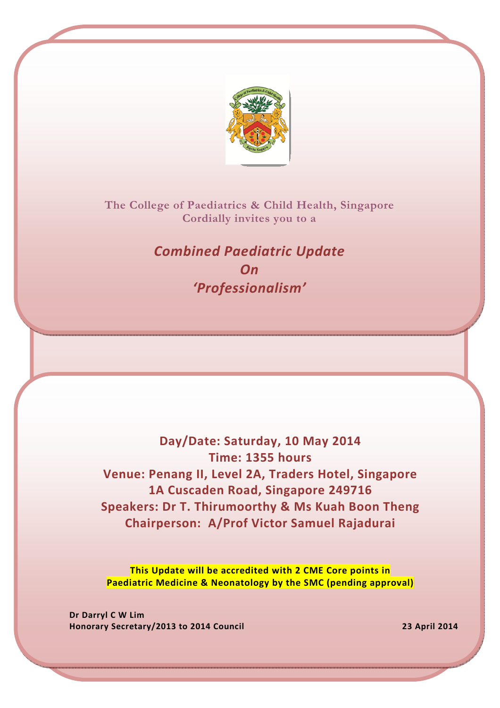

The College of Paediatrics & Child Health, Singapore Cordially invites you to a

> Combined Paediatric Update On 'Professionalism'

Day/Date: Saturday, 10 May 2014 Time: 1355 hours Venue: Penang II, Level 2A, Traders Hotel, Singapore 1A Cuscaden Road, Singapore 249716 Speakers: Dr T. Thirumoorthy & Ms Kuah Boon Theng Chairperson: A/Prof Victor Samuel Rajadurai

This Update will be accredited with 2 CME Core points in Paediatric Medicine & Neonatology by the SMC (pending approval)

Dr Darryl C W Lim Honorary Secretary/2013 to 2014 Council 23 April 2014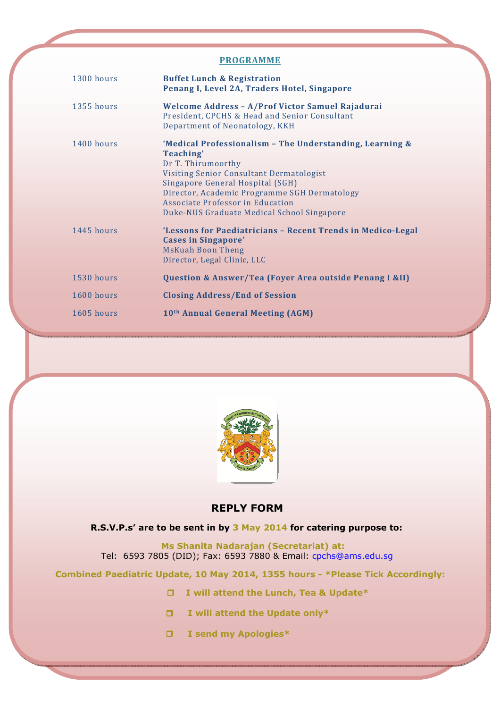#### ACCEPTED SPONSORS OF SPONSORS OF SPONSORS OF SPONSORS OF SPONSORS OF SPONSORS OF SPONSORS OF SPONSORS OF SPONSORS OF SPONSORS OF SPONSORS OF SPONSORS OF SPONSORS OF SPONSORS OF SPONSORS OF SPONSORS OF SPONSORS OF SPONSORS PROGRAMME

| 1300 hours | <b>Buffet Lunch &amp; Registration</b><br>Penang I, Level 2A, Traders Hotel, Singapore                                                                                                                                                                                                                        |
|------------|---------------------------------------------------------------------------------------------------------------------------------------------------------------------------------------------------------------------------------------------------------------------------------------------------------------|
| 1355 hours | Welcome Address - A/Prof Victor Samuel Rajadurai<br>President, CPCHS & Head and Senior Consultant<br>Department of Neonatology, KKH                                                                                                                                                                           |
| 1400 hours | 'Medical Professionalism - The Understanding, Learning &<br>Teaching'<br>Dr T. Thirumoorthy<br>Visiting Senior Consultant Dermatologist<br>Singapore General Hospital (SGH)<br>Director, Academic Programme SGH Dermatology<br>Associate Professor in Education<br>Duke-NUS Graduate Medical School Singapore |
| 1445 hours | 'Lessons for Paediatricians - Recent Trends in Medico-Legal<br><b>Cases in Singapore'</b><br><b>MsKuah Boon Theng</b><br>Director, Legal Clinic, LLC                                                                                                                                                          |
| 1530 hours | Question & Answer/Tea (Foyer Area outside Penang I &II)                                                                                                                                                                                                                                                       |
| 1600 hours | <b>Closing Address/End of Session</b>                                                                                                                                                                                                                                                                         |
| 1605 hours | 10th Annual General Meeting (AGM)                                                                                                                                                                                                                                                                             |



### REPLY FORM

#### R.S.V.P.s' are to be sent in by 3 May 2014 for catering purpose to:

 Ms Shanita Nadarajan (Secretariat) at: Tel: 6593 7805 (DID); Fax: 6593 7880 & Email: cpchs@ams.edu.sg

Combined Paediatric Update, 10 May 2014, 1355 hours - \*Please Tick Accordingly:

- □ I will attend the Lunch, Tea & Update\*
- $\Box$  I will attend the Update only\*
- I send my Apologies\*